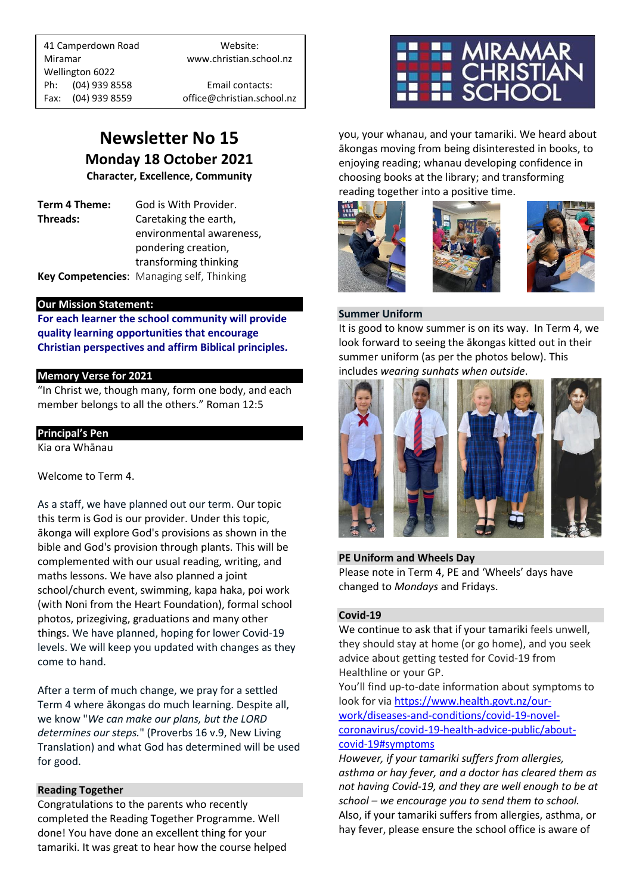41 Camperdown Road Website: Miramar www.christian.school.nz Wellington 6022 Ph: (04) 939 8558 Email contacts:

Fax: (04) 939 8559 office@christian.school.nz

# **Newsletter No 15 Monday 18 October 2021**

**Character, Excellence, Community**

**Term 4 Theme:** God is With Provider. **Threads:** Caretaking the earth,

environmental awareness, pondering creation, transforming thinking **Key Competencies**: Managing self, Thinking

# **Our Mission Statement:**

**For each learner the school community will provide quality learning opportunities that encourage Christian perspectives and affirm Biblical principles***.*

# **Memory Verse for 2021**

"In Christ we, though many, form one body, and each member belongs to all the others." Roman 12:5

# **Principal's Pen**

Kia ora Whānau

Welcome to Term 4.

As a staff, we have planned out our term. Our topic this term is God is our provider. Under this topic, ākonga will explore God's provisions as shown in the bible and God's provision through plants. This will be complemented with our usual reading, writing, and maths lessons. We have also planned a joint school/church event, swimming, kapa haka, poi work (with Noni from the Heart Foundation), formal school photos, prizegiving, graduations and many other things. We have planned, hoping for lower Covid-19 levels. We will keep you updated with changes as they come to hand.

After a term of much change, we pray for a settled Term 4 where ākongas do much learning. Despite all, we know "*We can make our plans, but the LORD determines our steps.*" (Proverbs 16 v.9, New Living Translation) and what God has determined will be used for good.

# **Reading Together**

Congratulations to the parents who recently completed the Reading Together Programme. Well done! You have done an excellent thing for your tamariki. It was great to hear how the course helped



you, your whanau, and your tamariki. We heard about ākongas moving from being disinterested in books, to enjoying reading; whanau developing confidence in choosing books at the library; and transforming reading together into a positive time.







#### **Summer Uniform**

It is good to know summer is on its way. In Term 4, we look forward to seeing the ākongas kitted out in their summer uniform (as per the photos below). This includes *wearing sunhats when outside*.



# **PE Uniform and Wheels Day**

Please note in Term 4, PE and 'Wheels' days have changed to *Mondays* and Fridays.

# **Covid-19**

We continue to ask that if your tamariki feels unwell, they should stay at home (or go home), and you seek advice about getting tested for Covid-19 from Healthline or your GP.

You'll find up-to-date information about symptoms to look for via [https://www.health.govt.nz/our](https://www.health.govt.nz/our-work/diseases-and-conditions/covid-19-novel-coronavirus/covid-19-health-advice-public/about-covid-19#symptoms)[work/diseases-and-conditions/covid-19-novel](https://www.health.govt.nz/our-work/diseases-and-conditions/covid-19-novel-coronavirus/covid-19-health-advice-public/about-covid-19#symptoms)[coronavirus/covid-19-health-advice-public/about](https://www.health.govt.nz/our-work/diseases-and-conditions/covid-19-novel-coronavirus/covid-19-health-advice-public/about-covid-19#symptoms)[covid-19#symptoms](https://www.health.govt.nz/our-work/diseases-and-conditions/covid-19-novel-coronavirus/covid-19-health-advice-public/about-covid-19#symptoms)

*However, if your tamariki suffers from allergies, asthma or hay fever, and a doctor has cleared them as not having Covid-19, and they are well enough to be at school – we encourage you to send them to school.* Also, if your tamariki suffers from allergies, asthma, or hay fever, please ensure the school office is aware of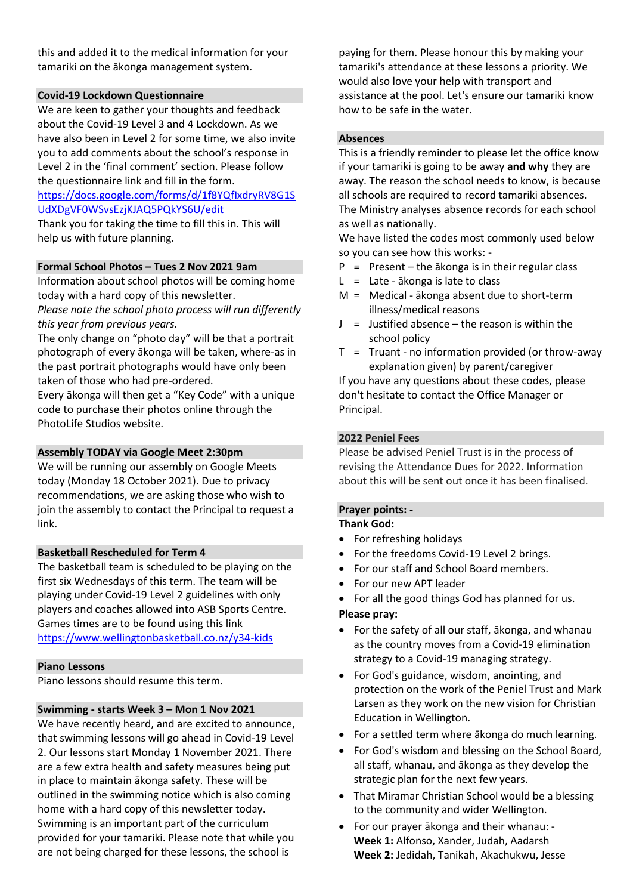this and added it to the medical information for your tamariki on the ākonga management system.

# **Covid-19 Lockdown Questionnaire**

We are keen to gather your thoughts and feedback about the Covid-19 Level 3 and 4 Lockdown. As we have also been in Level 2 for some time, we also invite you to add comments about the school's response in Level 2 in the 'final comment' section. Please follow the questionnaire link and fill in the form.

# [https://docs.google.com/forms/d/1f8YQfIxdryRV8G1S](https://docs.google.com/forms/d/1f8YQfIxdryRV8G1SUdXDgVF0WSvsEzjKJAQ5PQkYS6U/edit) [UdXDgVF0WSvsEzjKJAQ5PQkYS6U/edit](https://docs.google.com/forms/d/1f8YQfIxdryRV8G1SUdXDgVF0WSvsEzjKJAQ5PQkYS6U/edit)

Thank you for taking the time to fill this in. This will help us with future planning.

#### **Formal School Photos – Tues 2 Nov 2021 9am**

Information about school photos will be coming home today with a hard copy of this newsletter.

*Please note the school photo process will run differently this year from previous years.*

The only change on "photo day" will be that a portrait photograph of every ākonga will be taken, where-as in the past portrait photographs would have only been taken of those who had pre-ordered.

Every ākonga will then get a "Key Code" with a unique code to purchase their photos online through the PhotoLife Studios website.

#### **Assembly TODAY via Google Meet 2:30pm**

We will be running our assembly on Google Meets today (Monday 18 October 2021). Due to privacy recommendations, we are asking those who wish to join the assembly to contact the Principal to request a link.

# **Basketball Rescheduled for Term 4**

The basketball team is scheduled to be playing on the first six Wednesdays of this term. The team will be playing under Covid-19 Level 2 guidelines with only players and coaches allowed into ASB Sports Centre. Games times are to be found using this link <https://www.wellingtonbasketball.co.nz/y34-kids>

#### **Piano Lessons**

Piano lessons should resume this term.

#### **Swimming - starts Week 3 – Mon 1 Nov 2021**

We have recently heard, and are excited to announce, that swimming lessons will go ahead in Covid-19 Level 2. Our lessons start Monday 1 November 2021. There are a few extra health and safety measures being put in place to maintain ākonga safety. These will be outlined in the swimming notice which is also coming home with a hard copy of this newsletter today. Swimming is an important part of the curriculum provided for your tamariki. Please note that while you are not being charged for these lessons, the school is

paying for them. Please honour this by making your tamariki's attendance at these lessons a priority. We would also love your help with transport and assistance at the pool. Let's ensure our tamariki know how to be safe in the water.

#### **Absences**

This is a friendly reminder to please let the office know if your tamariki is going to be away **and why** they are away. The reason the school needs to know, is because all schools are required to record tamariki absences. The Ministry analyses absence records for each school as well as nationally.

We have listed the codes most commonly used below so you can see how this works: -

- $P =$  Present the  $\overline{a}$  konga is in their regular class
- $L =$  Late  $\overline{a}$  konga is late to class
- M = Medical ākonga absent due to short-term illness/medical reasons
- $J =$  Justified absence the reason is within the school policy
- $T =$  Truant no information provided (or throw-away explanation given) by parent/caregiver

If you have any questions about these codes, please don't hesitate to contact the Office Manager or Principal.

#### **2022 Peniel Fees**

Please be advised Peniel Trust is in the process of revising the Attendance Dues for 2022. Information about this will be sent out once it has been finalised.

# **Prayer points: -**

#### **Thank God:**

- For refreshing holidays
- For the freedoms Covid-19 Level 2 brings.
- For our staff and School Board members.
- For our new APT leader
- For all the good things God has planned for us.

#### **Please pray:**

- For the safety of all our staff, ākonga, and whanau as the country moves from a Covid-19 elimination strategy to a Covid-19 managing strategy.
- For God's guidance, wisdom, anointing, and protection on the work of the Peniel Trust and Mark Larsen as they work on the new vision for Christian Education in Wellington.
- For a settled term where ākonga do much learning.
- For God's wisdom and blessing on the School Board, all staff, whanau, and ākonga as they develop the strategic plan for the next few years.
- That Miramar Christian School would be a blessing to the community and wider Wellington.
- For our prayer ākonga and their whanau: **Week 1:** Alfonso, Xander, Judah, Aadarsh **Week 2:** Jedidah, Tanikah, Akachukwu, Jesse